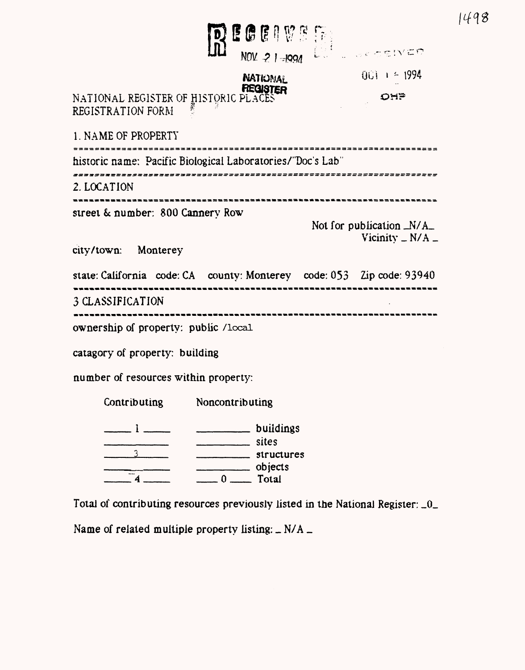| DEGENVE                                                                                                                                                                                                                                                                                   |                                              |
|-------------------------------------------------------------------------------------------------------------------------------------------------------------------------------------------------------------------------------------------------------------------------------------------|----------------------------------------------|
| <b>NATIONAL</b>                                                                                                                                                                                                                                                                           | $001 + 1994$                                 |
| <b>PEQUITER</b><br>NATIONAL REGISTER OF HISTORIC PLACES<br>REGISTRATION FORM                                                                                                                                                                                                              | <b>OHP</b>                                   |
| 1. NAME OF PROPERTY                                                                                                                                                                                                                                                                       |                                              |
| historic name: Pacific Biological Laboratories/"Doc's Lab"                                                                                                                                                                                                                                |                                              |
| 2. LOCATION                                                                                                                                                                                                                                                                               |                                              |
| street & number: 800 Cannery Row                                                                                                                                                                                                                                                          | Not for publication $_N/A$<br>Vicinity $N/A$ |
| city/town: Monterey                                                                                                                                                                                                                                                                       |                                              |
| state: California code: CA county: Monterey code: 053 Zip code: 93940                                                                                                                                                                                                                     |                                              |
| 3 CLASSIFICATION                                                                                                                                                                                                                                                                          |                                              |
| ownership of property: public /local                                                                                                                                                                                                                                                      |                                              |
| catagory of property: building                                                                                                                                                                                                                                                            |                                              |
| number of resources within property:                                                                                                                                                                                                                                                      |                                              |
| Noncontributing<br>Contributing                                                                                                                                                                                                                                                           |                                              |
| buildings<br>$\overline{a}$ . The components of $\overline{a}$<br>sites<br><u> Liberatura de la contrada de la contrada de la contrada de la contrada de la contrada de la contrada de la c</u><br>structures<br>objects<br>$\frac{1}{\sqrt{1-\frac{1}{2}}}\sqrt{1-\frac{1}{2}}$<br>$-4-$ |                                              |

1498

Total of contributing resources previously listed in the National Register: \_0.

Name of related multiple property listing:  $\angle$  N/A  $\angle$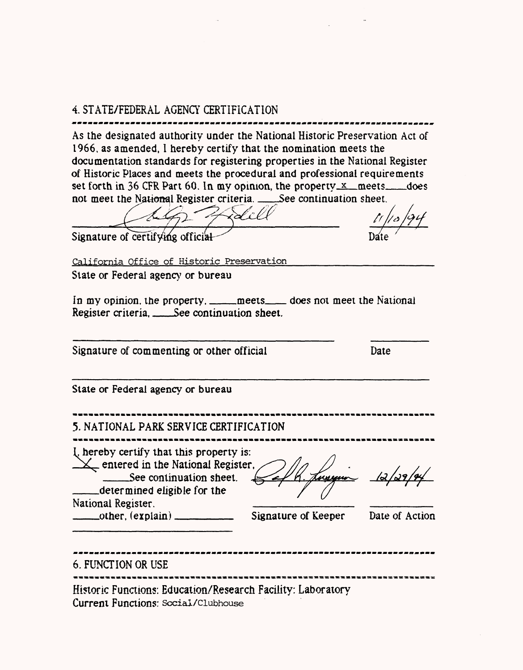# 4. STATE/FEDERAL AGENCY CERTIFICATION

As the designated authority under the National Historic Preservation Act of 1966. as amended, I hereby certify that the nomination meets the documentation standards for registering properties in the National Register of Historic Places and meets the procedural and professional requirements set forth in 36 CFR Part 60. In my opinion, the property\_x\_meets\_odoes not meet the National Register criteria. \_\_.See continuation sheet.

Signature of certifying official

California Office of Historic Preservation\_\_\_\_\_\_\_\_\_\_\_\_\_\_\_\_\_\_

**State or Federal agency or bureau**

In my opinion, the property. \_\_\_\_\_meets\_\_\_\_ does not meet the National Register criteria, \_\_\_\_\_See continuation sheet.

Signature of commenting or other official Date Date

State or Federal agency or bureau

| 5. NATIONAL PARK SERVICE CERTIFICATION<br>I, hereby certify that this property is:<br>$\sqrt{\phantom{a}}$ entered in the National Register,<br>______See continuation sheet.<br>determined eligible for the |                     |                |
|--------------------------------------------------------------------------------------------------------------------------------------------------------------------------------------------------------------|---------------------|----------------|
| National Register.<br>______other, (explain) ________                                                                                                                                                        | Signature of Keeper | Date of Action |
| 6. FUNCTION OR USE                                                                                                                                                                                           |                     |                |

Hi5toric Functions: Education/Research Facility: Laboratory Current Functions: social/clubhouse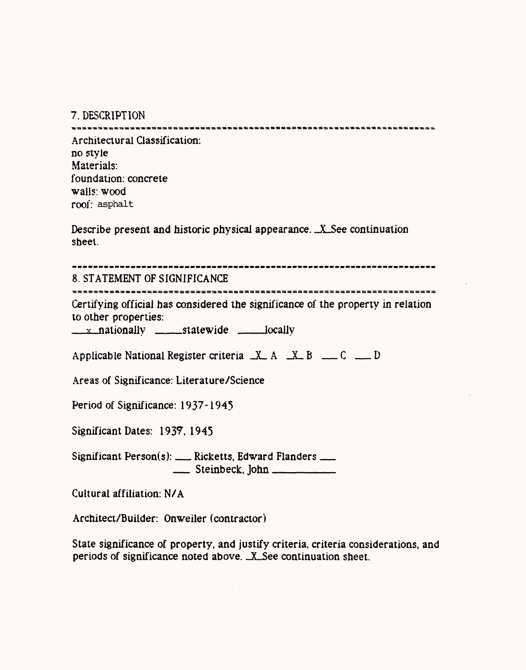7. DESCRIPTION

Architectural Classification: no style Materials: foundation: concrete walls: wood **roof:** asphalt

Describe present and historic physical appearance. \_X\_See continuation sheet.

| 8. STATEMENT OF SIGNIFICANCE |  |
|------------------------------|--|

Certifying official has considered the significance of the property in relation to other properties:

 $\frac{\mathbf{x}}{\mathbf{y}}$  nationally  $\frac{\mathbf{x}}{\mathbf{y}}$  statewide  $\frac{\mathbf{x}}{\mathbf{y}}$  locally

| Applicable National Register criteria $X A$ $X B$ $X B$ $C = D$ |  |  |  |
|-----------------------------------------------------------------|--|--|--|

Areas of Significance: Literature/Science

Period of Significance: 1937-1945

Significant Dates: 1937,1945

Significant Person(s): \_\_ Ricketts, Edward Flanders \_\_  $\frac{1}{\sqrt{1-\frac{1}{2}}}\text{Steinbeck}, \text{John}$ 

Cultural affiliation: N/A

Architect/Builder: Onweiler (contractor)

State significance of property, and justify criteria, criteria considerations, and periods of significance noted above. \_X\_See continuation sheet.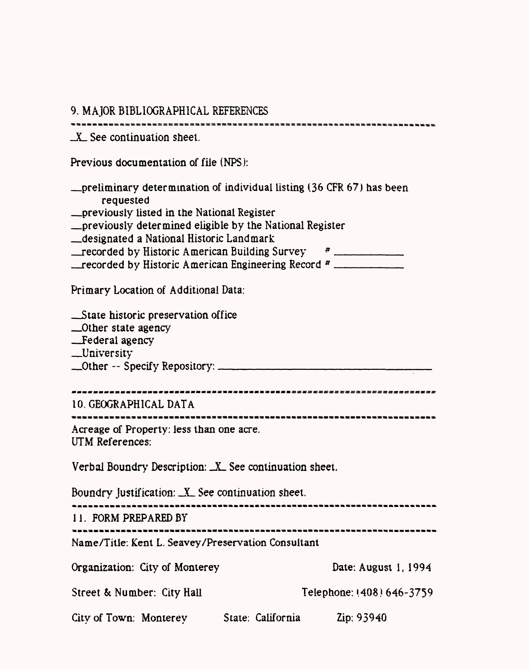| 9. MAJOR BIBLIOGRAPHICAL REFERENCES                                                                                                                                                                                                                                                                                                                                                               |                           |
|---------------------------------------------------------------------------------------------------------------------------------------------------------------------------------------------------------------------------------------------------------------------------------------------------------------------------------------------------------------------------------------------------|---------------------------|
| $X$ See continuation sheet.                                                                                                                                                                                                                                                                                                                                                                       |                           |
| Previous documentation of file (NPS):                                                                                                                                                                                                                                                                                                                                                             |                           |
| <u>-preliminary determination of individual listing (36 CFR 67)</u> has been<br>requested<br><u>- previously listed in the National Register</u><br><u>- previously determined eligible by the National Register</u><br>designated a National Historic Landmark<br>$r =$ recorded by Historic American Building Survey $r =$<br>_recorded by Historic American Engineering Record # _____________ |                           |
| Primary Location of Additional Data:                                                                                                                                                                                                                                                                                                                                                              |                           |
| __State historic preservation office<br>__Other state agency<br>Federal agency<br>_University                                                                                                                                                                                                                                                                                                     |                           |
| 10. GEOGRAPHICAL DATA                                                                                                                                                                                                                                                                                                                                                                             |                           |
| Acreage of Property: less than one acre.<br>UTM References:                                                                                                                                                                                                                                                                                                                                       |                           |
| Verbal Boundry Description: X See continuation sheet.                                                                                                                                                                                                                                                                                                                                             |                           |
| Boundry Justification: X See continuation sheet.                                                                                                                                                                                                                                                                                                                                                  |                           |
| 11. FORM PREPARED BY                                                                                                                                                                                                                                                                                                                                                                              | ---------------------     |
| Name/Title: Kent L. Seavey/Preservation Consultant                                                                                                                                                                                                                                                                                                                                                |                           |
| Organization: City of Monterey                                                                                                                                                                                                                                                                                                                                                                    | Date: August 1, 1994      |
| Street & Number: City Hall                                                                                                                                                                                                                                                                                                                                                                        | Telephone: (408) 646-3759 |
| City of Town: Monterey State: California                                                                                                                                                                                                                                                                                                                                                          | Zip: 93940                |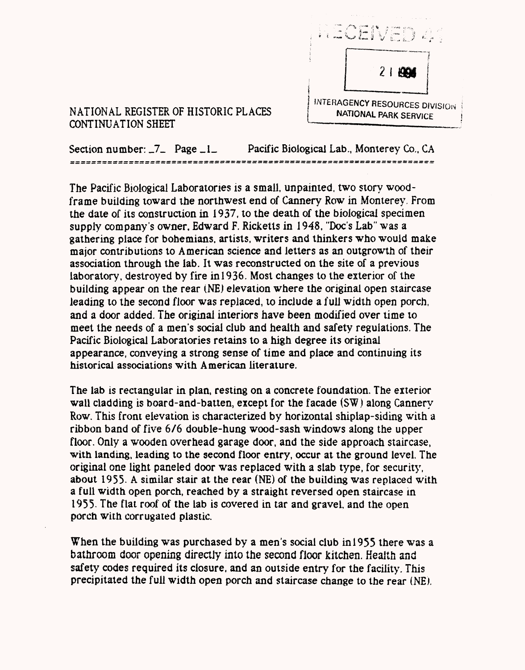

#### NATIONAL REGISTER OF HISTORIC PLACES **NATIONAL PARK SERVICE** CONTINUATION SHEET *{*—————————\_\_\_\_\_\_

Section number:  $\overline{\phantom{a}}$  Page  $\overline{\phantom{a}}$  Pacific Biological Lab., Monterey Co., CA

The Pacific Biological Laboratories is a small, unpaimed, two story woodframe building toward the northwest end of Cannery Row in Monterey, From the date of its construction in 1937, to the death of the biological specimen supply company's owner, Edward F. Ricketts in 1948, "Doc's Lab" was a gathering place for bohemians. artists, writers and thinkers who would make major contributions to American science and letters as an outgrowth of their association through the lab. It was reconstructed on the site of a previous laboratory, destroyed by fire in  $1936$ . Most changes to the exterior of the building appear on the rear (NE) elevation where the original open staircase leading to the second floor was replaced, to include a full width open porch, and a door added. The original interiors have been modified over time to meet the needs of a men's social club and health and safety regulations. The Pacific Biological Laboratories retains to a high degree its original appearance, conveying a strong sense of time and place and continuing its historical associations with American literature.

The lab is rectangular in plan, resting on a concrete foundation. The exterior wall cladding is board-and-batten, except for the facade (SW) along Cannery Row. This front elevation is characterized by horizontal shiplap-siding with a ribbon band of five 6/6 double-hung wood-sash windows along the upper floor. Only a wooden overhead garage door, and the side approach staircase, with landing, leading to the second floor entry, occur at the ground level. The original one light paneled door was replaced with a slab type, for security, about 1955. A similar stair at the rear (NE) of the building was replaced with a full width open porch, reached by a straight reversed open staircase in 1955- The flat roof of the lab is covered in tar and gravel, and the open porch with corrugated plastic.

When the building was purchased by a men's social club in!955 there was a bathroom door opening directly into the second floor kitchen. Health and safety codes required its closure, and an outside entry for the facility. This precipitated the full width open porch and staircase change to the rear (NE).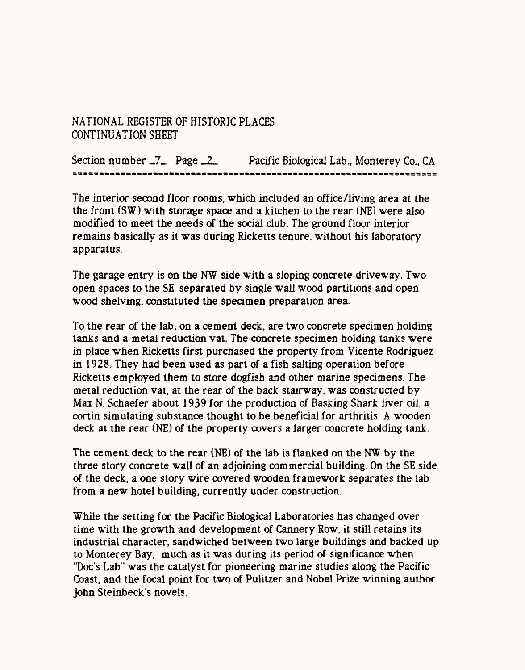Section number  $Z_$  Page  $Z_$  Pacific Biological Lab., Monterey Co., CA

The interior second floor rooms, which included an office/living area at the the front (SW) with storage space and a kitchen to the rear (NE) were also modified to meet the needs of the social club. The ground floor interior remains basically as it was during Ricketts tenure, without his laboratory apparatus.

The garage entry is on the NW side with a sloping concrete driveway. Two open spaces to the SE, separated by single wall wood partitions and open wood shelving, constituted the specimen preparation area.

To the rear of the lab, on a cement deck, are two concrete specimen holding tanks and a metal reduction vat. The concrete specimen holding tanks were in place when Ricketts first purchased the property from Vicente Rodriguez in 1928. They had been used as part of a fish salting operation before Ricketts employed them to store dogfish and other marine specimens. The metal reduction vat, at the rear of the back stairway, was constructed by Max N. Schaefer about 1939 for the production of Basking Shark liver oil, a cortin simulating substance thought to be beneficial for arthritis. A wooden deck at the rear (NE) of the property covers a larger concrete holding tank.

The cement deck to the rear (NE) of the lab is flanked on the NW by the three story concrete wail of an adjoining commercial building. On the SE side of the deck, a one story wire covered wooden framework separates the lab from a new hotel building, currently under construction.

While the setting for the Pacific Biological Laboratories has changed over time with the growth and development of Cannery Row, it still retains its industrial character, sandwiched between two large buildings and backed up to Monterey Bay, much as it was during its period of significance when "Doc's Lab" was the catalyst for pioneering marine studies along the Pacific Coast, and the focal point for two of Pulitzer and Nobel Prize winning author John Steinbeck's novels.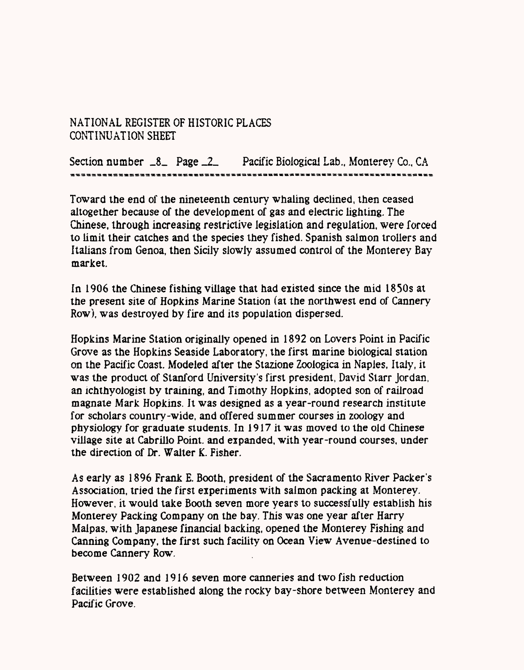Section number \_8\_ Page \_2\_ Pacific Biological Lab., Monterey Co., CA

Toward the end of the nineteenth century whaling declined, then ceased altogether because of the development of gas and electric lighting. The Chinese, through increasing restrictive legislation and regulation, were forced to limit their catches and the species they fished. Spanish salmon trollers and Italians from Genoa, then Sicily slowly assumed control of the Monterey Bay market.

In 1906 the Chinese fishing village that had existed since the mid 1850s at the present site of Hopkins Marine Station (at the northwest end of Cannery Row), was destroyed by fire and its population dispersed.

Hopkins Marine Station originally opened in 1892 on Lovers Point in Pacific Grove as the Hopkins Seaside Laboratory, the first marine biological station on the Pacific Coast. Modeled after the Stazione Zoologica in Naples, Italy, it was the product of Stanford University's first president, David Starr Jordan, an ichthyologist by training, and Timothy Hopkins, adopted son of railroad magnate Mark Hopkins. It was designed as a year-round research institute for scholars country-wide, and offered summer courses in zoology and physiology for graduate students. In 1917 it was moved to the old Chinese village site at Cabrillo Point, and expanded, with year-round courses, under the direction of Dr. Walter K. Fisher.

As early as 1896 Frank E. Booth, president of the Sacramento River Packer's Association, tried the first experiments with salmon packing at Monterey. However, it would take Booth seven more years to successfully establish his Monterey Packing Company on the bay. This was one year after Harry Malpas, with Japanese financial backing, opened the Monterey Fishing and Canning Company, the first such facility on Ocean View Avenue-destined to become Cannery Row.

Between 1902 and 1916 seven more canneries and two fish reduction facilities were established along the rocky bay-shore between Monterey and Pacific Grove.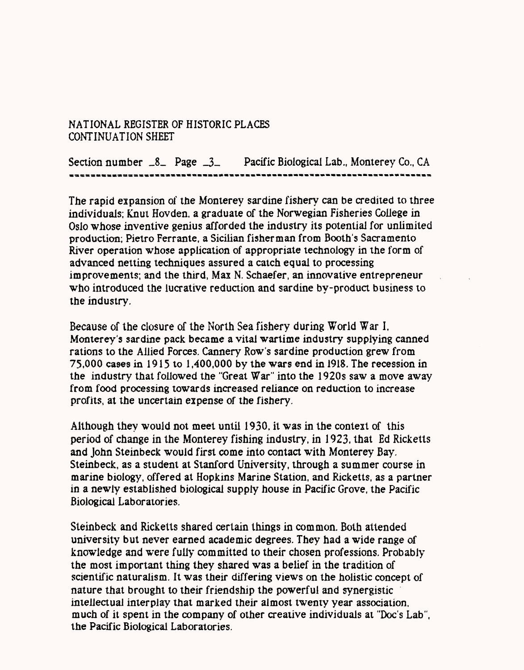Section number \_8\_ Page \_3\_ Pacific Biological Lab., Monterey Co., CA

The rapid expansion of the Monterey sardine fishery can be credited to three individuals; Knut Hovden, a graduate of the Norwegian Fisheries College in Oslo whose inventive genius afforded the industry its potential for unlimited production; Pietro Ferrante, a Sicilian fisherman from Booth's Sacramento River operation whose application of appropriate technology in the form of advanced netting techniques assured a catch equal to processing improvements; and the third, Max N. Schaefer, an innovative entrepreneur who introduced the lucrative reduction and sardine by-product business to the industry.

Because of the closure of the North Sea fishery during World War I, Monterey's sardine pack became a vital wartime industry supplying canned rations to the Allied Forces. Cannery Row's sardine production grew from 75,000 cases in 1915 to 1,400,000 by the wars end in 1918. The recession in the industry that followed the "Great War" into the 1920s saw a move away from food processing towards increased reliance on reduction to increase profits, at the uncertain expense of the fishery.

Although they would not meet until  $1930$ , it was in the context of this period of change in the Monterey fishing industry, in 1923, that Ed Ricketts and John Steinbeck would first come into contact with Monterey Bay. Steinbeck, as a student at Stanford University, through a summer course in marine biology, offered at Hopkins Marine Station, and Ricketts, as a partner in a newly established biological supply house in Pacific Grove, the Pacific Biological Laboratories.

Steinbeck and Ricketts shared certain things in common. Both attended university but never earned academic degrees. They had a wide range of knowledge and were fully committed to their chosen professions. Probably the most important thing they shared was a belief in the tradition of scientific naturalism. It was their differing views on the holistic concept of nature that brought to their friendship the powerful and synergistic intellectual interplay that marked their almost twenty year association, much of it spent in the company of other creative individuals at "Doc's Lab", the Pacific Biological Laboratories.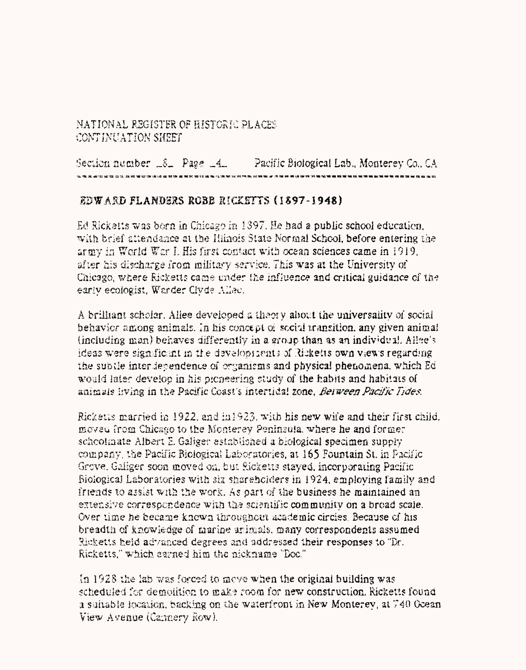Section number  $\&$  Page  $-4$  Pacific Biological Lab., Monterey Co., CA

## EDWARD FLANDERS ROBB RICKETTS (1897-1948)

Ed Ricketts was born in Chicago in 1397. He had a public school education. with brief attendance at the Hinois State Normal School, before entering the army in World War I. His first contact with ocean sciences came in 1919. after his discharge from military service. This was at the University of Chicago, where Ricketts came under the influence and critical guidance of the early ecologist. Warder Clvde Allec.

A brilliant scholar. Allee developed a theory about the universality of social behavior among animals. In his concept of social transition, any given animal (including man) behaves differently in a group than as an individual. Allee's ideas were significant in the developments of Ricketts own views regarding the subtle interdependence of organisms and physical phenomena, which Ed would later develop in his picneering study of the habits and habitats of animals living in the Pacific Coast's intertidal zone. Between Pacific Tides.

Ricketts married in 1922, and in 1923, with his new wife and their first child. moved from Chicago to the Monterey Peninsula, where he and former schoolmate Albert E. Galiger established a biological specimen supply company, the Pacific Biological Laboratories, at 165 Fountain St. in Pacific Grove, Galiger soon moved on, but Ricketts stayed, incorporating Pacific Biological Laboratories with six shareholders in 1924, employing family and friends to assist with the work. As part of the business he maintained an extensive correspondence with the scientific community on a broad scale. Over time he became known throughout academic circles. Because of his breadth of knowledge of marine animals, many correspondents assumed Ricketts held advanced degrees and addressed their responses to "Dr. Ricketts." which earned him the nickname "Doc."

In  $1928$  the lab was forced to move when the original building was scheduled for demolition to make room for new construction. Ricketts found a suitable location, backing on the waterfront in New Monterey, at 740 Goean View Avenue (Cannery Row).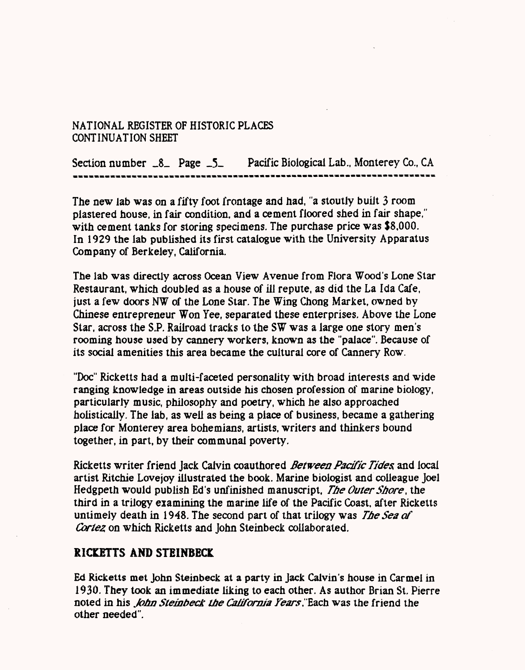Section number  $\_\8$  Page  $\_\5$  Pacific Biological Lab., Monterey Co., CA

The new lab was on a fifty foot frontage and had, "a stoutly built 3 room plastered house, in fair condition, and a cement floored shed in fair shape," with cement tanks for storing specimens. The purchase price was \$8.000. In 1929 the lab published its first catalogue with the University Apparatus Company of Berkeley, California.

The lab was directly across Ocean View Avenue from Flora Wood's Lone Star Restaurant, which doubled as a house of ill repute, as did the La Ida Cafe, just a few doors NW of the Lone Star. The Wing Chong Market, owned by Chinese entrepreneur Won Yee, separated these enterprises. Above the Lone Star, across the S.P. Railroad tracks to the SW was a large one story men's rooming house used by cannery workers, known as the "palace". Because of its social amenities this area became the cultural core of Cannery Row.

"Doc" Ricketts had a multi-faceted personality with broad interests and wide ranging knowledge in areas outside his chosen profession of marine biology, particularly music, philosophy and poetry, which he also approached hoiisticaiiy. The lab, as well as being a place of business, became a gathering place for Monterey area bohemians, artists, writers and thinkers bound together, in part, by their communal poverty.

Ricketts writer friend Jack Calvin coauthored *Between Pacific Tides* and local artist Ritchie Lovejoy illustrated the book. Marine biologist and colleague Joel Hedgpeth would publish Ed's unfinished manuscript, *The Outer Shore*, the third in a trilogy examining the marine life of the Pacific Coast, after Ricketts untimely death in 1948. The second part of that trilogy was *The Sea of Cortez* on which Ricketts and John Steinbeck collaborated.

### **RICKETTS AND STEINBECK**

Ed Ricketts met John Steinbeck at a party in Jack Calvin's house in Carmel in 1930. They took an immediate liking to each other. As author Brian St. Pierre noted in his *fohn Steinbeck the California Fears*."Each was the friend the other needed".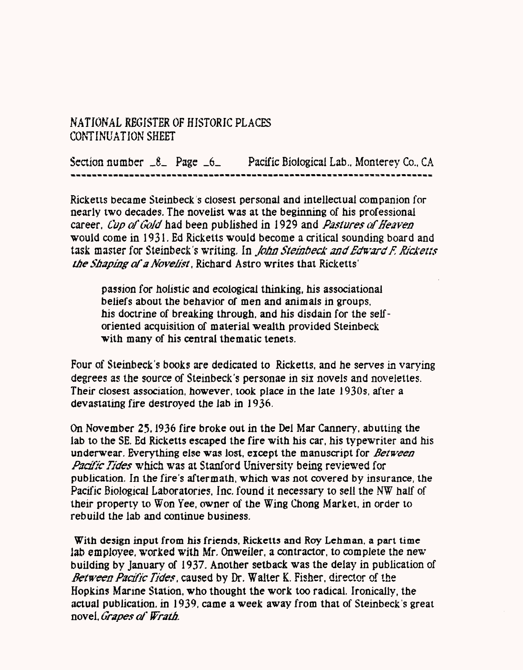Section number \_8\_ Page \_6\_ Pacific Biological Lab., Monterey Co., CA

Ricketts became Steinbeck s closest personal and intellectual companion for nearly two decades. The novelist was at the beginning of his professional career, *Cup of Gold* had been published in 1929 and *Pastures of Heaven* would come in 1931. Ed Ricketts would become a critical sounding board and task master for Steinbeck's writing, In *John Steinbeck and Edward K Ricketts the Shaping of '3 Novelist*; , Richard Astro writes that Ricketts'

passion for holistic and ecological thinking, his associational beliefs about the behavior of men and animals in groups, his doctrine of breaking through, and his disdain for the selforiented acquisition of material wealth provided Steinbeck with many of his central thematic tenets.

Four of Steinbeck's books are dedicated to Ricketts, and he serves in varying degrees as the source of Steinbeck's personae in six novels and novelettes. Their closest association, however, took place in the late 1930s, after a devastating fire destroyed the lab in 1936,

On November 25,1936 fire broke out in the Dei Mar Cannery, abutting the lab to the SE. Ed Ricketts escaped the fire with his car, his typewriter and his underwear. Everything else was lost, except the manuscript for *Between Padfic Tides* which was at Stanford University being reviewed for publication. In the fire's aftermath, which was not covered by insurance, the Pacific Biological Laboratories, Inc. found it necessary to sell the NW half of their property to Won Yee, owner of the Wing Chong Market, in order to rebuild the lab and continue business.

With design input from his friends, Ricketts and Roy Lehman, a part time lab employee, worked with Mr. Onweiler, a contractor, to complete the new building by January of 1937. Another setback was the delay in publication of *Between Pacific Tides,* caused by Dr. Walter K. Fisher, director of the Hopkins Marine Station, who thought the work too radical. Ironically, the actual publication, in 1939, came a week away from that of Steinbeck's great novel, *Grapes of Wrath.*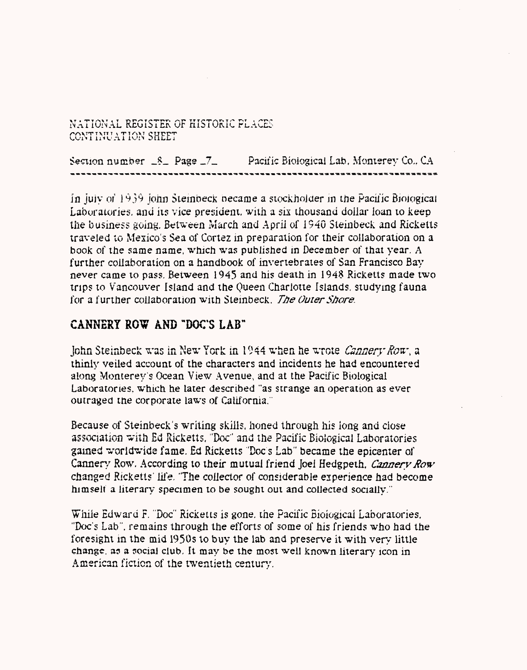Section number  $S_+$  Page  $Z_-$  Pacific Biological Lab, Monterey Co., CA

In July of  $1939$  John Steinbeck became a stockholder in the Pacil'ic Biological Laboratories, and its vice president, with a six thousand dollar loan to keep the business going. Between March and April of 1940 Steinbeck and Ricketts traveled to Mexico's Sea of Cortez in preparation for their collaboration on a book of the same name, which was published in December of that year. A further collaboration on a handbook of invertebrates of San Francisco Bay never came to pass. Between 1945 and his death in 1948 Ricketts made two trips to Vancouver Island and the Queen Charlotte Islands, studying fauna for a further collaboration with Steinbeck. *The Outer Shore.* 

# CANNERY ROW AND "DOC'S LAB"

John Steinbeck was in New York in 1944 when he wrote *Cannery Row*, a thinly veiled account of the characters and incidents he had encountered along Monterey's Ocean View Avenue, and at the Pacific Biological Laboratories, which he later described "as strange an operation as ever outraged the corporate laws of California.

Because of Steinbeck's writing skills, honed through his long and close association with Ed Ricketts, "Doc" and the Pacific Biological Laboratories gained worldwide fame. £d Ricketts 'Doc s Lab" became the epicenter of Cannery Row. According to their mutual friend Joel Hedgpeth, *Cannery Row* changed Ricketts' life, "The collector of considerable experience had become himself a literary specimen to be sought out and collected socially."

While Edward F. "Doc" Ricketts is gone, the Pacific Biological Laboratories. "Doc's Lab", remains through the efforts of some of his friends who had the foresight in the mid 1950s to buy the lab and preserve it with very little change, as a social club. It may be the most well known literary icon in American fiction of the twentieth century.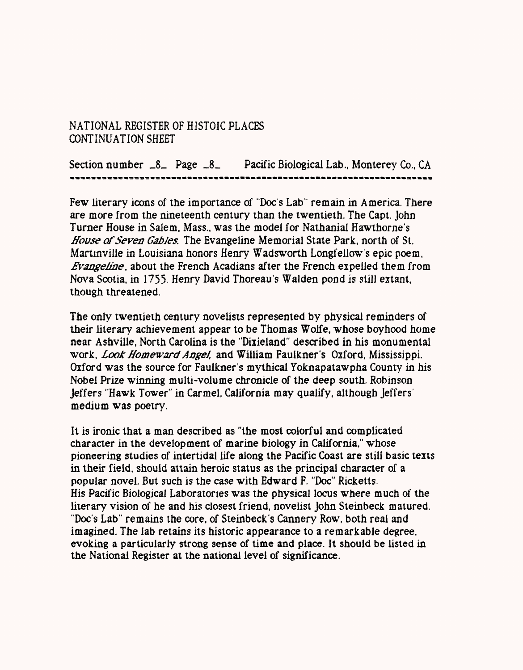Section number  $-8$  Page  $-8$  Pacific Biological Lab., Monterey Co., CA

Few literary icons of the importance of "Doc s Lab' remain in America. There are more from the nineteenth century than the twentieth. The Capt. John Turner House in Salem, Mass., was the model for Nathanial Hawthorne's *House of Seven Gables.* The Evangeline Memorial State Park, north of St. Martinville in Louisiana honors Henry Wadsworth Longfellow's epic poem, *Evangeline,* about the French Acadians after the French expelled them from Nova Scotia, in 1755- Henry David Thoreau's Walden pond is still extant, though threatened.

The only twentieth century novelists represented by physical reminders of their literary achievement appear to be Thomas Wolfe, whose boyhood home near Ashville, North Carolina is the "Dixieland" described in his monumental work, *Look Homeward Angel,* and William Faulkner's Oxford, Mississippi. Oxford was the source for Faulkner's mythical Yoknapatawpha County in his Nobel Prize winning multi-volume chronicle of the deep south. Robinson Jeffers "Hawk Tower" in Carmel, California may qualify, although Jeffers' medium was poetry.

It is ironic that a man described as "the most colorful and complicated character in the development of marine biology in California," whose pioneering studies of intertidal life along the Pacific Coast are still basic texts in their field, should attain heroic status as the principal character of a popular novel. But such is the case with Edward F. "Doc" Ricketts. His Pacific Biological Laboratories was the physical locus where much of the literary vision of he and his closest friend, novelist John Steinbeck matured. "Doc's Lab" remains the core, of Steinbeck's Cannery Row, both real and imagined. The lab retains its historic appearance to a remarkable degree, evoking a particularly strong sense of time and place. It should be listed in the National Register at the national level of significance.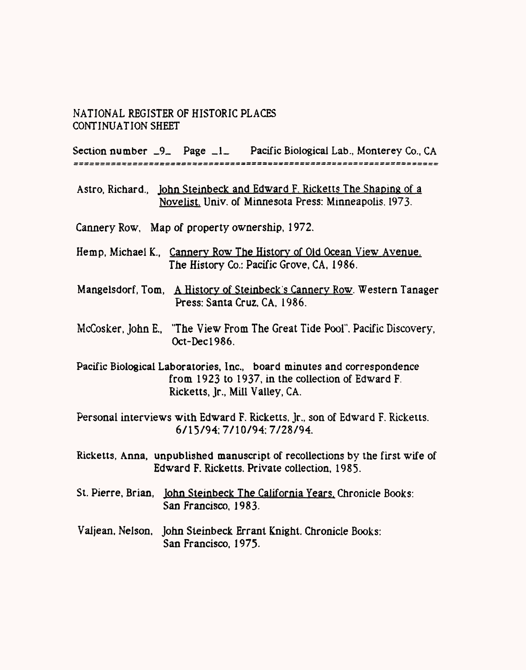Section number  $-9$  Page  $-1$  Pacific Biological Lab., Monterey Co., CA 

- Astro, Richard., John Steinbeck and Edward F. Ricketts The Shaping of a Novelist. Univ. of Minnesota Press: Minneapolis. 1973.
- Cannery Row, Map of property ownership, 1972.
- Hemp, Michael K.t Cannery Row The History of Old Ocean View Avenue. The History Co.: Pacific Grove, CA, 1986.
- Mangelsdorf, Tom, A History of Steinbeck's Cannery Row. Western Tanager Press: Santa Cruz, CA, 1986.
- McCosker, John E., "The View From The Great Tide Pool". Pacific Discovery, Oct-Decl986.

Pacific Biological Laboratories, Inc., board minutes and correspondence from 1923 to 1937, in the collection of Edward F. Ricketts, Jr., Mill Valley, CA.

Personal interviews with Edward F. Ricketts, Jr., son of Edward F. Ricketts. 6/15/94:7/10/94:7/28/94.

- Ricketts, Anna, unpublished manuscript of recollections by the first wife of Edward F. Ricketts. Private collection, 1985-
- St. Pierre, Brian, John Steinbeck The California Years. Chronicle Books: San Francisco, 1983.
- Valjean, Nelson, John Steinbeck Errant Knight. Chronicle Books: San Francisco, 1975.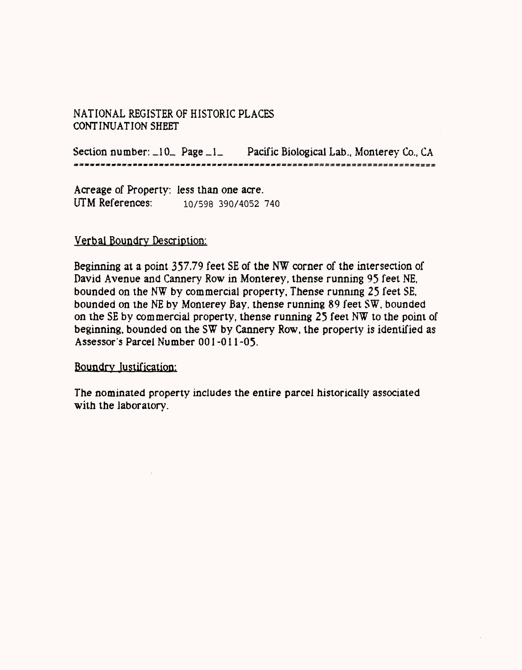Section number:  $\Box$ 10\_ Page  $\Box$ 1\_ Pacific Biological Lab., Monterey Co., CA \*\*\*\*\*\*\*\*\*\*\*\*\*\*\*\*\*\*\*\*\*\*\*\*\*\*\*\*\*\*\*\*\*\*\*

Acreage of Property: less than one acre. UTM References: 10/598 390/4052 740

### Verbal Boundrv Description:

Beginning at a point 357.79 feet SE of the NW corner of the intersection of David Avenue and Cannery Row in Monterey, thense running 95 feet NE, bounded on the NW by commercial property, Thense running 25 feet SE, bounded on the NE by Monterey Bay, thense running 89 feet SW. bounded on the SE by commercial property, thense running 25 feet NW to the point of beginning, bounded on the SW by Cannery Row, the property is identified as Assessor's Parcel Number 001 -011 -05.

Boundrv Justification:

The nominated property includes the entire parcel historically associated with the laboratory.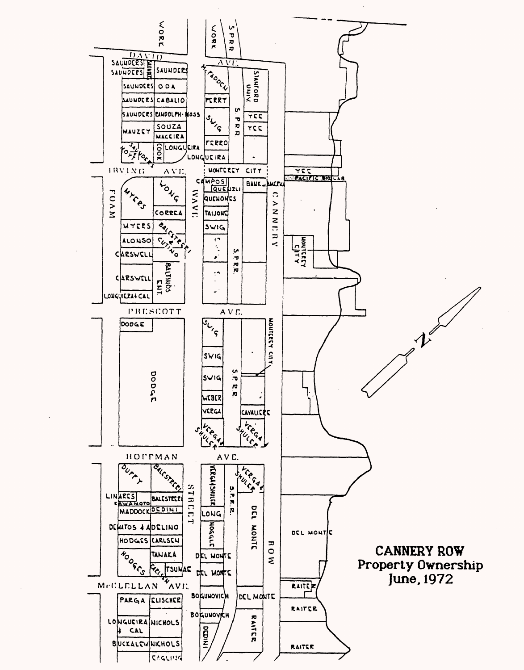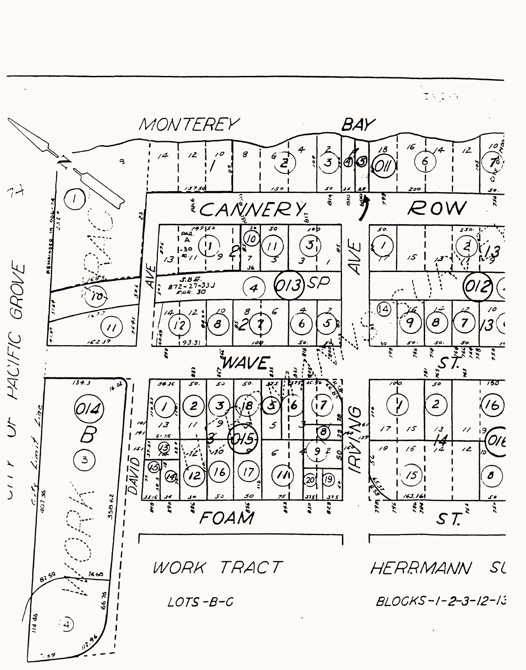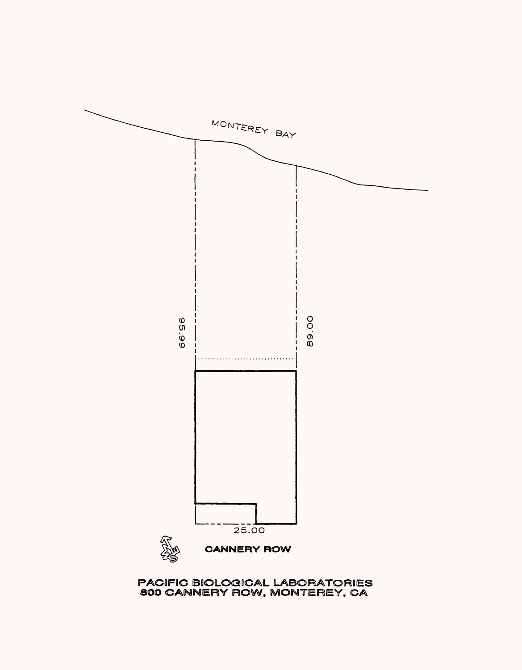

PACIFIC BIOLOGICAL LABORATORIES<br>800 CANNERY ROW, MONTEREY, CA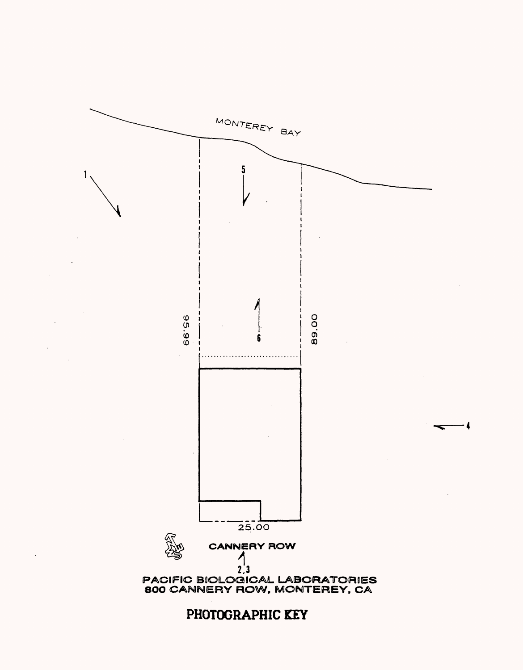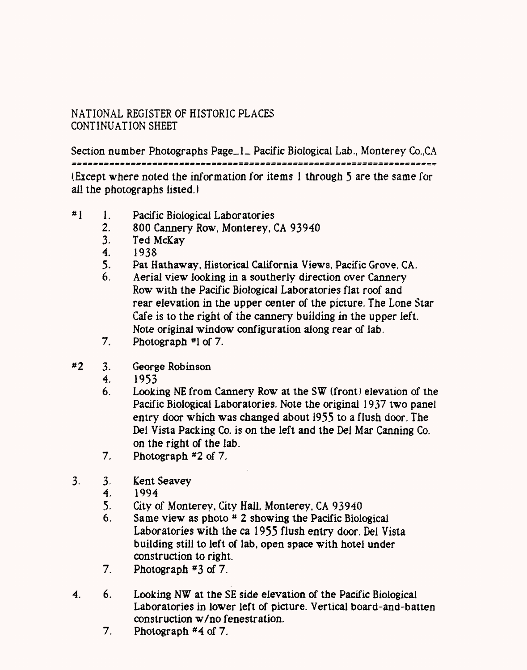Section number Photographs Page\_1\_ Pacific Biological Lab., Monterey Co., CA (Eicept where noted the information for items 1 through 5 are the same for all the photographs listed.)

- #1 1. Pacific Biological Laboratories<br>2. 800 Cannery Row. Monterey.
	- 2. 800 Cannery Row, Monterey, CA 93940<br>3. Ted McKav
	- Ted McKav
	- 4. 1938
	- 5. Pat Hathaway, Historical California Views, Pacific Grove, CA.<br>6. Aerial view looking in a southerly direction over Cannery
	- Aerial view looking in a southerly direction over Cannery Row with the Pacific Biological Laboratories flat roof and rear elevation in the upper center of the picture. The Lone Star Cafe is to the right of the cannery building in the upper left. Note original window configuration along rear of lab.
	- 7. Photograph *#1* of 7.
- #2 3. George Robinson
	- 4. 1953
	- 6. Looking NE from Cannery Row at the SW (front) elevation of the Pacific Biological Laboratories. Note the original 1937 two panel entry door which was changed about 1955 to a flush door. The Del Vista Packing Co. is on the left and the Del Mar Canning Co. on the right of the lab.
	- 7. Photograph #2 of 7.
- 3- 3- Kent Seavey
	- 4. 1994
	- 5. City of Monterey, City Hall, Monterey, CA 93940<br>6. Same view as photo # 2 showing the Pacific Biolo
	- Same view as photo  $*$  2 showing the Pacific Biological Laboratories with the ca 1955 flush entry door. Del Vista building still to left of lab, open space with hotel under construction to right.
	- 7. Photograph #3 of 7.
- 4. 6. Looking NW at the SE side elevation of the Pacific Biological Laboratories in lower left of picture. Vertical board-and-batten construction w/no fenestration.
	- 7. Photograph #4 of 7.